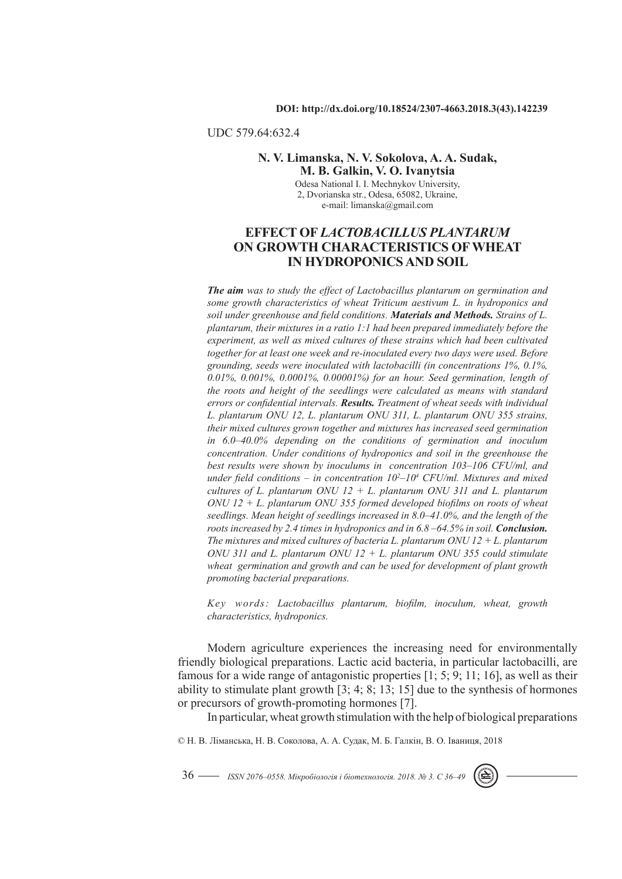## UDC 579.64:632.4

## **N. V. Limanska, N. V. Sokolova, A. A. Sudak, M. B. Galkin, V. O. Ivanytsia**

Odesa National I. I. Mechnykov University, 2, Dvorianska str., Odesa, 65082, Ukraine, e-mail: limanska@gmail.com

# **EFFECT OF** *LACTOBACILLUS PLANTARUM*  **ON GROWTH CHARACTERISTICS OF WHEAT IN HYDROPONICS AND SOIL**

*The aim was to study the effect of Lactobacillus plantarum on germination and some growth characteristics of wheat Triticum aestivum L. in hydroponics and soil under greenhouse and field conditions. Materials and Methods. Strains of L. plantarum, their mixtures in a ratio 1:1 had been prepared immediately before the experiment, as well as mixed cultures of these strains which had been cultivated*  together for at least one week and re-inoculated every two days were used. Before *grounding, seeds were inoculated with lactobacilli (in concentrations 1%, 0.1%, 0.01%, 0.001%, 0.0001%, 0.00001%) for an hour. Seed germination, length of the roots and height of the seedlings were calculated as means with standard errors or confidential intervals. Results. Treatment of wheat seeds with individual L. plantarum ONU 12, L. plantarum ONU 311, L. plantarum ONU 355 strains, their mixed cultures grown together and mixtures has increased seed germination in 6.0–40.0% depending on the conditions of germination and inoculum concentration. Under conditions of hydroponics and soil in the greenhouse the best results were shown by inoculums in concentration 103–106 CFU/ml, and under field conditions – in concentration 102 –104 CFU/ml. Mixtures and mixed cultures of L. plantarum ONU 12 + L. plantarum ONU 311 and L. plantarum ONU 12 + L. plantarum ONU 355 formed developed biofilms on roots of wheat seedlings. Mean height of seedlings increased in 8.0–41.0%, and the length of the roots increased by 2.4 times in hydroponics and in 6.8 –64.5% in soil. Conclusion. The mixtures and mixed cultures of bacteria L. plantarum ONU 12 + L. plantarum ONU 311 and L. plantarum ONU 12 + L. plantarum ONU 355 could stimulate wheat germination and growth and can be used for development of plant growth promoting bacterial preparations.*

*Key words: Lactobacillus plantarum, biofilm, inoculum, wheat, growth characteristics, hydroponics.*

Modern agriculture experiences the increasing need for environmentally friendly biological preparations. Lactic acid bacteria, in particular lactobacilli, are famous for a wide range of antagonistic properties [1; 5; 9; 11; 16], as well as their ability to stimulate plant growth [3; 4; 8; 13; 15] due to the synthesis of hormones or precursors of growth-promoting hormones [7].

In particular, wheat growth stimulation with the help of biological preparations

© Н. В. Ліманська, Н. В. Соколова, А. А. Судак, М. Б. Галкін, В. О. Іваниця, 2018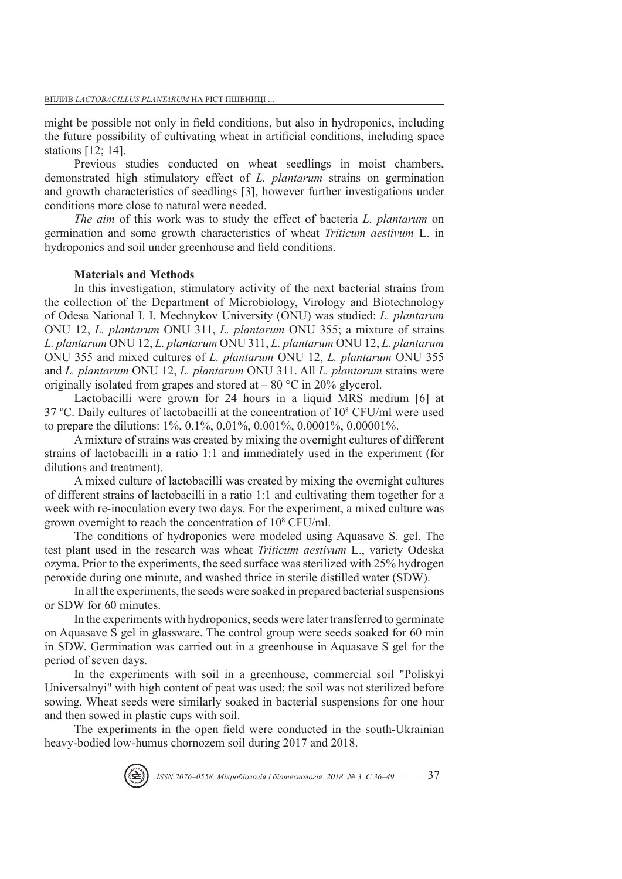might be possible not only in field conditions, but also in hydroponics, including the future possibility of cultivating wheat in artificial conditions, including space stations [12; 14].

Previous studies conducted on wheat seedlings in moist chambers, demonstrated high stimulatory effect of *L. plantarum* strains on germination and growth characteristics of seedlings [3], however further investigations under conditions more close to natural were needed.

*The aim* of this work was to study the effect of bacteria *L. plantarum* on germination and some growth characteristics of wheat *Triticum aestivum* L. in hydroponics and soil under greenhouse and field conditions.

## **Materials and Methods**

In this investigation, stimulatory activity of the next bacterial strains from the collection of the Department of Microbiology, Virology and Biotechnology of Odesa National I. I. Mechnykov University (ONU) was studied: *L. plantarum*  ONU 12, *L. plantarum* ONU 311, *L. plantarum* ONU 355; a mixture of strains *L. plantarum* ONU 12, *L. plantarum* ONU 311, *L. plantarum* ONU 12, *L. plantarum*  ONU 355 and mixed cultures of *L. plantarum* ONU 12, *L. plantarum* ONU 355 and *L. plantarum* ONU 12, *L. plantarum* ONU 311. All *L. plantarum* strains were originally isolated from grapes and stored at  $-80$  °C in 20% glycerol.

Lactobacilli were grown for 24 hours in a liquid MRS medium [6] at 37 ºС. Daily cultures of lactobacilli at the concentration of 10<sup>8</sup> CFU/ml were used to prepare the dilutions: 1%, 0.1%, 0.01%, 0.001%, 0.0001%, 0.00001%.

A mixture of strains was created by mixing the overnight cultures of different strains of lactobacilli in a ratio 1:1 and immediately used in the experiment (for dilutions and treatment).

A mixed culture of lactobacilli was created by mixing the overnight cultures of different strains of lactobacilli in a ratio 1:1 and cultivating them together for a week with re-inoculation every two days. For the experiment, a mixed culture was grown overnight to reach the concentration of 10<sup>8</sup> CFU/ml.

The conditions of hydroponics were modeled using Aquasave S. gel. The test plant used in the research was wheat *Triticum aestivum* L., variety Odeska ozyma. Prior to the experiments, the seed surface was sterilized with 25% hydrogen peroxide during one minute, and washed thrice in sterile distilled water (SDW).

In all the experiments, the seeds were soaked in prepared bacterial suspensions or SDW for 60 minutes.

In the experiments with hydroponics, seeds were later transferred to germinate on Aquasave S gel in glassware. The control group were seeds soaked for 60 min in SDW. Germination was carried out in a greenhouse in Aquasave S gel for the period of seven days.

In the experiments with soil in a greenhouse, commercial soil "Poliskyi Universalnyi" with high content of peat was used; the soil was not sterilized before sowing. Wheat seeds were similarly soaked in bacterial suspensions for one hour and then sowed in plastic cups with soil.

The experiments in the open field were conducted in the south-Ukrainian heavy-bodied low-humus chornozem soil during 2017 and 2018.

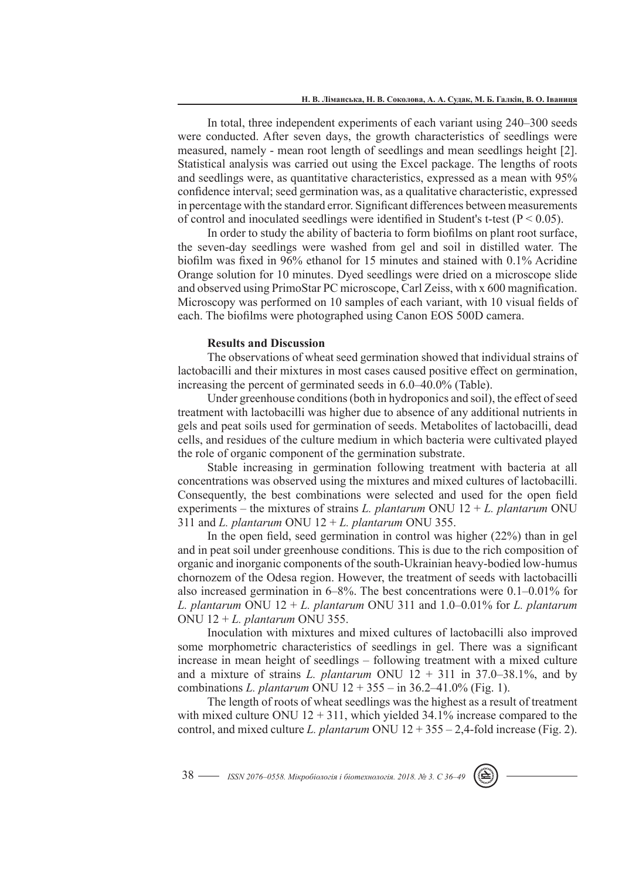In total, three independent experiments of each variant using 240–300 seeds were conducted. After seven days, the growth characteristics of seedlings were measured, namely - mean root length of seedlings and mean seedlings height [2]. Statistical analysis was carried out using the Excel package. The lengths of roots and seedlings were, as quantitative characteristics, expressed as a mean with 95% confidence interval; seed germination was, as a qualitative characteristic, expressed in percentage with the standard error. Significant differences between measurements of control and inoculated seedlings were identified in Student's t-test ( $P < 0.05$ ).

In order to study the ability of bacteria to form biofilms on plant root surface, the seven-day seedlings were washed from gel and soil in distilled water. The biofilm was fixed in 96% ethanol for 15 minutes and stained with 0.1% Acridine Orange solution for 10 minutes. Dyed seedlings were dried on a microscope slide and observed using PrimoStar PC microscope, Carl Zeiss, with x 600 magnification. Microscopy was performed on 10 samples of each variant, with 10 visual fields of each. The biofilms were photographed using Canon EOS 500D camera.

### **Results and Discussion**

The observations of wheat seed germination showed that individual strains of lactobacilli and their mixtures in most cases caused positive effect on germination, increasing the percent of germinated seeds in 6.0–40.0% (Table).

Under greenhouse conditions (both in hydroponics and soil), the effect of seed treatment with lactobacilli was higher due to absence of any additional nutrients in gels and peat soils used for germination of seeds. Metabolites of lactobacilli, dead cells, and residues of the culture medium in which bacteria were cultivated played the role of organic component of the germination substrate.

Stable increasing in germination following treatment with bacteria at all concentrations was observed using the mixtures and mixed cultures of lactobacilli. Consequently, the best combinations were selected and used for the open field experiments – the mixtures of strains *L. plantarum* ONU 12 + *L. plantarum* ONU 311 and *L. plantarum* ONU 12 + *L. plantarum* ONU 355.

In the open field, seed germination in control was higher (22%) than in gel and in peat soil under greenhouse conditions. This is due to the rich composition of organic and inorganic components of the south-Ukrainian heavy-bodied low-humus chornozem of the Odesa region. However, the treatment of seeds with lactobacilli also increased germination in 6–8%. The best concentrations were 0.1–0.01% for *L. plantarum* ONU 12 + *L. plantarum* ONU 311 and 1.0–0.01% for *L. plantarum*  ONU 12 + *L. plantarum* ONU 355.

Inoculation with mixtures and mixed cultures of lactobacilli also improved some morphometric characteristics of seedlings in gel. There was a significant increase in mean height of seedlings – following treatment with a mixed culture and a mixture of strains *L. plantarum* ONU  $12 + 311$  in 37.0–38.1%, and by combinations *L. plantarum* ONU 12 + 355 – in 36.2–41.0% (Fig. 1).

The length of roots of wheat seedlings was the highest as a result of treatment with mixed culture ONU  $12 + 311$ , which yielded 34.1% increase compared to the control, and mixed culture *L. plantarum* ONU 12 + 355 – 2,4-fold increase (Fig. 2).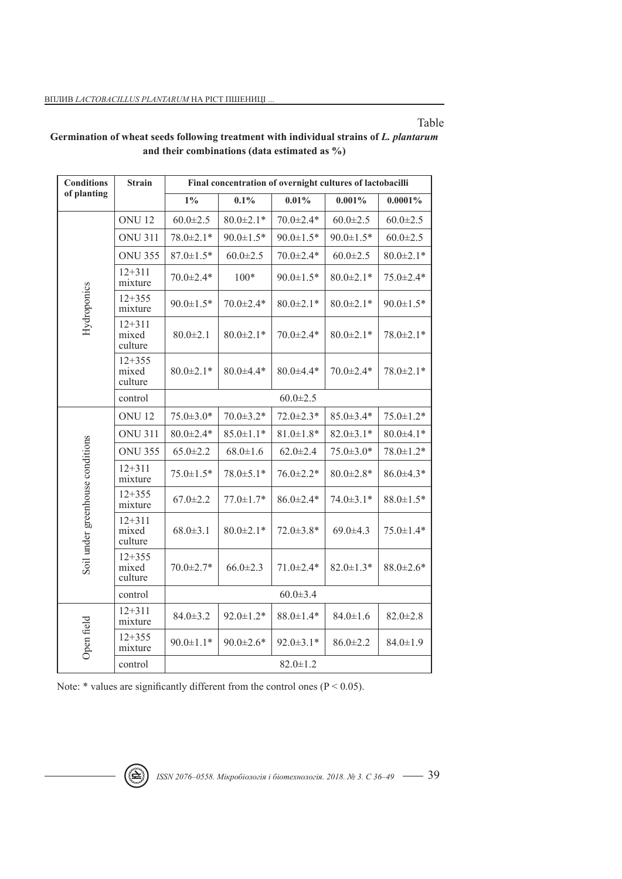Table

| <b>Conditions</b>                | <b>Strain</b>                  | Final concentration of overnight cultures of lactobacilli |                  |                 |                 |                 |
|----------------------------------|--------------------------------|-----------------------------------------------------------|------------------|-----------------|-----------------|-----------------|
| of planting                      |                                | $1\%$                                                     | 0.1%             | 0.01%           | 0.001%          | $0.0001\%$      |
| Hydroponics                      | <b>ONU12</b>                   | $60.0 \pm 2.5$                                            | $80.0 \pm 2.1*$  | $70.0 \pm 2.4*$ | $60.0 \pm 2.5$  | $60.0 \pm 2.5$  |
|                                  | <b>ONU 311</b>                 | $78.0 \pm 2.1*$                                           | $90.0 \pm 1.5*$  | $90.0 \pm 1.5*$ | $90.0 \pm 1.5*$ | $60.0 \pm 2.5$  |
|                                  | <b>ONU 355</b>                 | $87.0 \pm 1.5*$                                           | $60.0 \pm 2.5$   | $70.0 \pm 2.4*$ | $60.0 \pm 2.5$  | $80.0 \pm 2.1*$ |
|                                  | $12 + 311$<br>mixture          | $70.0 \pm 2.4*$                                           | $100*$           | $90.0 \pm 1.5*$ | $80.0 \pm 2.1*$ | 75.0±2.4*       |
|                                  | $12 + 355$<br>mixture          | $90.0 \pm 1.5*$                                           | $70.0 \pm 2.4*$  | $80.0 \pm 2.1*$ | $80.0 \pm 2.1*$ | $90.0 \pm 1.5*$ |
|                                  | $12 + 311$<br>mixed<br>culture | $80.0 \pm 2.1$                                            | $80.0 \pm 2.1*$  | $70.0 \pm 2.4*$ | $80.0 \pm 2.1*$ | $78.0 \pm 2.1*$ |
|                                  | $12 + 355$<br>mixed<br>culture | $80.0 \pm 2.1*$                                           | $80.0 \pm 4.4*$  | $80.0 \pm 4.4*$ | 70.0±2.4*       | 78.0±2.1*       |
|                                  | control                        | $60.0 \pm 2.5$                                            |                  |                 |                 |                 |
| Soil under greenhouse conditions | <b>ONU12</b>                   | $75.0 \pm 3.0*$                                           | $70.0 \pm 3.2*$  | $72.0 \pm 2.3*$ | $85.0 \pm 3.4*$ | $75.0 \pm 1.2*$ |
|                                  | <b>ONU 311</b>                 | $80.0 \pm 2.4*$                                           | $85.0 \pm 1.1*$  | $81.0 \pm 1.8*$ | $82.0 \pm 3.1*$ | $80.0 \pm 4.1*$ |
|                                  | <b>ONU 355</b>                 | $65.0 \pm 2.2$                                            | $68.0 \pm 1.6$   | $62.0 \pm 2.4$  | $75.0 \pm 3.0*$ | 78.0±1.2*       |
|                                  | $12 + 311$<br>mixture          | $75.0 \pm 1.5*$                                           | $78.0 \pm 5.1*$  | $76.0 \pm 2.2*$ | $80.0 \pm 2.8*$ | $86.0 \pm 4.3*$ |
|                                  | $12 + 355$<br>mixture          | $67.0 \pm 2.2$                                            | $77.0 \pm 1.7*$  | $86.0 \pm 2.4*$ | $74.0 \pm 3.1*$ | $88.0 \pm 1.5*$ |
|                                  | $12 + 311$<br>mixed<br>culture | $68.0 \pm 3.1$                                            | $80.0 \pm 2.1*$  | $72.0 \pm 3.8*$ | $69.0 \pm 4.3$  | $75.0 \pm 1.4*$ |
|                                  | $12 + 355$<br>mixed<br>culture | 70.0±2.7*                                                 | $66.0 \pm 2.3$   | $71.0 \pm 2.4*$ | $82.0 \pm 1.3*$ | $88.0 \pm 2.6*$ |
|                                  | control                        | $60.0 \pm 3.4$                                            |                  |                 |                 |                 |
| Open field                       | $12 + 311$<br>mixture          | $84.0 \pm 3.2$                                            | $92.0 \pm 1.2^*$ | $88.0 \pm 1.4*$ | $84.0 \pm 1.6$  | $82.0 \pm 2.8$  |
|                                  | $12 + 355$<br>mixture          | $90.0 \pm 1.1*$                                           | $90.0 \pm 2.6*$  | $92.0 \pm 3.1*$ | $86.0 \pm 2.2$  | $84.0 \pm 1.9$  |
|                                  | control                        | $82.0 \pm 1.2$                                            |                  |                 |                 |                 |

## **Germination of wheat seeds following treatment with individual strains of** *L. plantarum*  **and their combinations (data estimated as %)**

Note:  $*$  values are significantly different from the control ones ( $P < 0.05$ ).

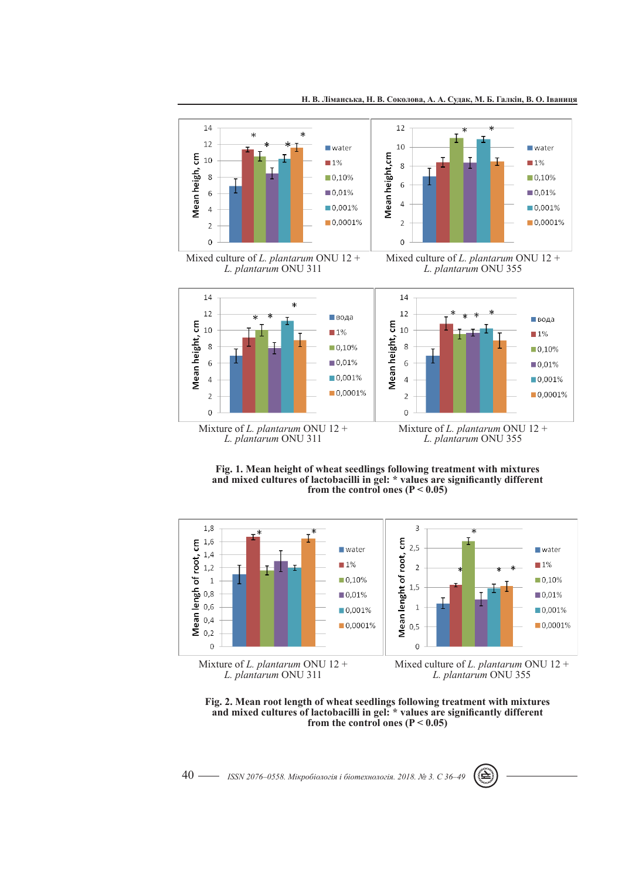

**Fig. 1. Mean height of wheat seedlings following treatment with mixtures and mixed cultures of lactobacilli in gel: \* values are significantly different from the control ones (P < 0.05)**



Mixture of *L. plantarum* ONU 12 + *L. plantarum* ONU 311

Mixed culture of *L. plantarum* ONU 12 + *L. plantarum* ONU 355



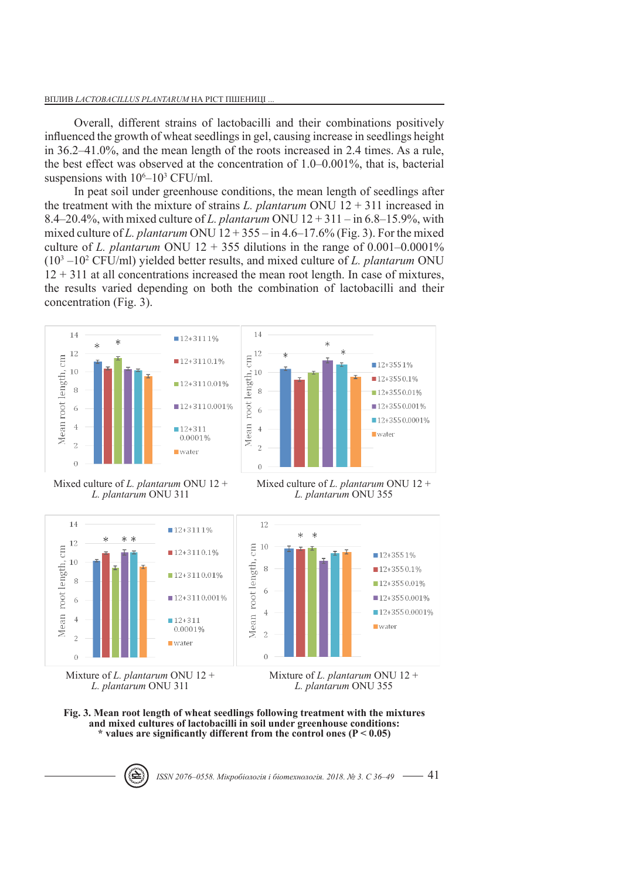Overall, different strains of lactobacilli and their combinations positively influenced the growth of wheat seedlings in gel, causing increase in seedlings height in 36.2–41.0%, and the mean length of the roots increased in 2.4 times. As a rule, the best effect was observed at the concentration of 1.0–0.001%, that is, bacterial suspensions with  $10<sup>6</sup>-10<sup>3</sup>$  CFU/ml.

In peat soil under greenhouse conditions, the mean length of seedlings after the treatment with the mixture of strains *L. plantarum* ONU 12 + 311 increased in 8.4–20.4%, with mixed culture of *L. plantarum* ONU 12 + 311 – in 6.8–15.9%, with mixed culture of *L. plantarum* ONU  $12 + 355 -$  in  $4.6 - 17.6\%$  (Fig. 3). For the mixed culture of *L. plantarum* ONU  $12 + 355$  dilutions in the range of 0.001–0.0001% (103 –10<sup>2</sup> CFU/ml) yielded better results, and mixed culture of *L. plantarum* ONU  $12 + 311$  at all concentrations increased the mean root length. In case of mixtures, the results varied depending on both the combination of lactobacilli and their concentration (Fig. 3).



Mixed culture of *L. plantarum* ONU 12 + *L. plantarum* ONU 311

Mixed culture of *L. plantarum* ONU 12 + *L. plantarum* ONU 355



*L. plantarum* ONU 355



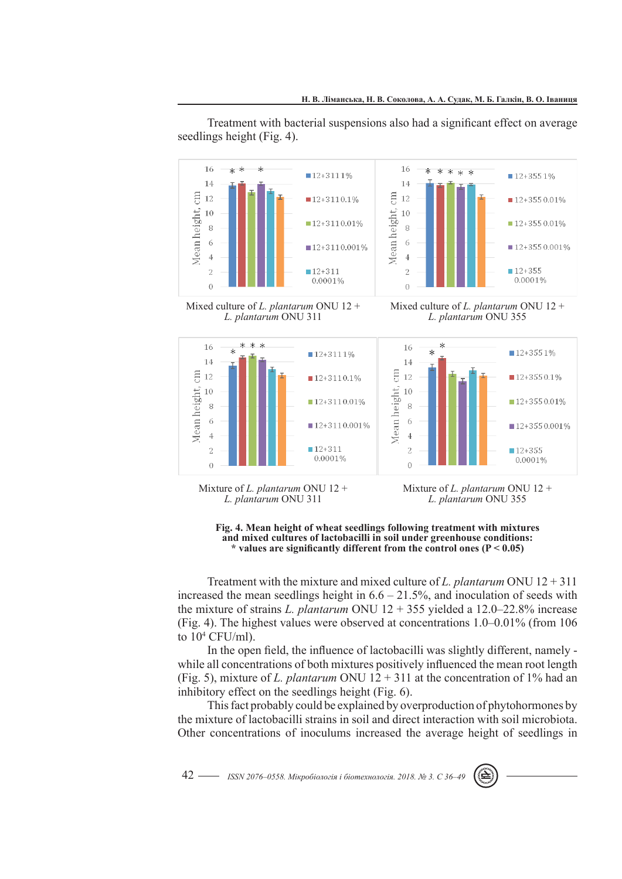Treatment with bacterial suspensions also had a significant effect on average seedlings height (Fig. 4).





Mixed culture of *L. plantarum* ONU 12 + *L. plantarum* ONU 311





Mixture of *L. plantarum* ONU 12 + *L. plantarum* ONU 311

Mixture of *L. plantarum* ONU 12 + *L. plantarum* ONU 355



Treatment with the mixture and mixed culture of *L. plantarum* ONU 12 + 311 increased the mean seedlings height in  $6.6 - 21.5\%$ , and inoculation of seeds with the mixture of strains *L. plantarum* ONU 12 + 355 yielded a 12.0–22.8% increase (Fig. 4). The highest values were observed at concentrations 1.0–0.01% (from 106 to 104 CFU/ml).

In the open field, the influence of lactobacilli was slightly different, namely while all concentrations of both mixtures positively influenced the mean root length (Fig. 5), mixture of *L. plantarum* ONU 12 + 311 at the concentration of 1% had an inhibitory effect on the seedlings height (Fig. 6).

This fact probably could be explained by overproduction of phytohormones by the mixture of lactobacilli strains in soil and direct interaction with soil microbiota. Other concentrations of inoculums increased the average height of seedlings in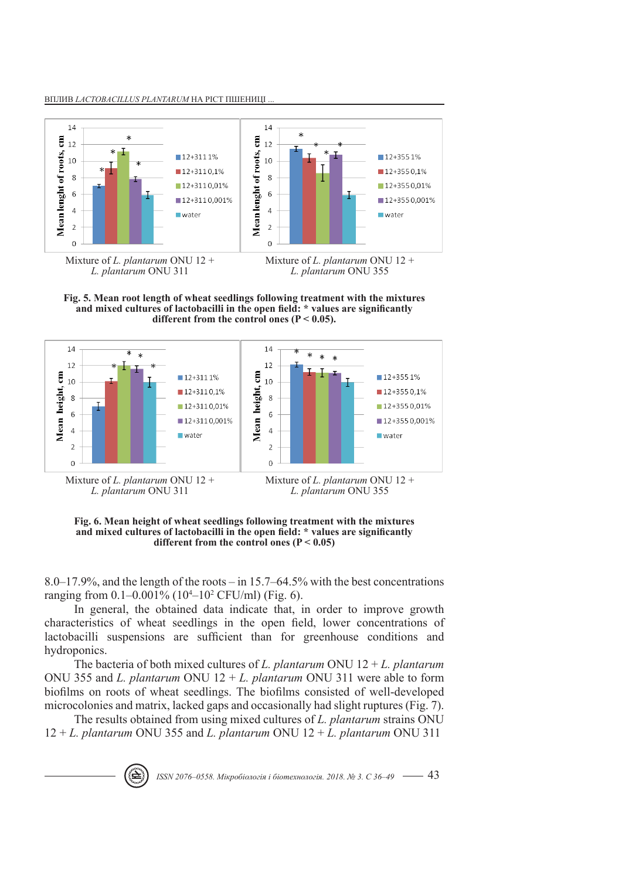





**Fig. 6. Mean height of wheat seedlings following treatment with the mixtures and mixed cultures of lactobacilli in the open field: \* values are significantly different from the control ones (P < 0.05)**

8.0–17.9%, and the length of the roots – in 15.7–64.5% with the best concentrations ranging from 0.1–0.001% (104 –10<sup>2</sup> CFU/ml) (Fig. 6).

In general, the obtained data indicate that, in order to improve growth characteristics of wheat seedlings in the open field, lower concentrations of lactobacilli suspensions are sufficient than for greenhouse conditions and hydroponics.

The bacteria of both mixed cultures of *L. plantarum* ONU  $12 + L$ . *plantarum* ONU 355 and *L. plantarum* ONU 12 + *L. plantarum* ONU 311 were able to form biofilms on roots of wheat seedlings. The biofilms consisted of well-developed microcolonies and matrix, lacked gaps and occasionally had slight ruptures (Fig. 7).

The results obtained from using mixed cultures of *L. plantarum* strains ONU 12 + *L. plantarum* ONU 355 and *L. plantarum* ONU 12 + *L. plantarum* ONU 311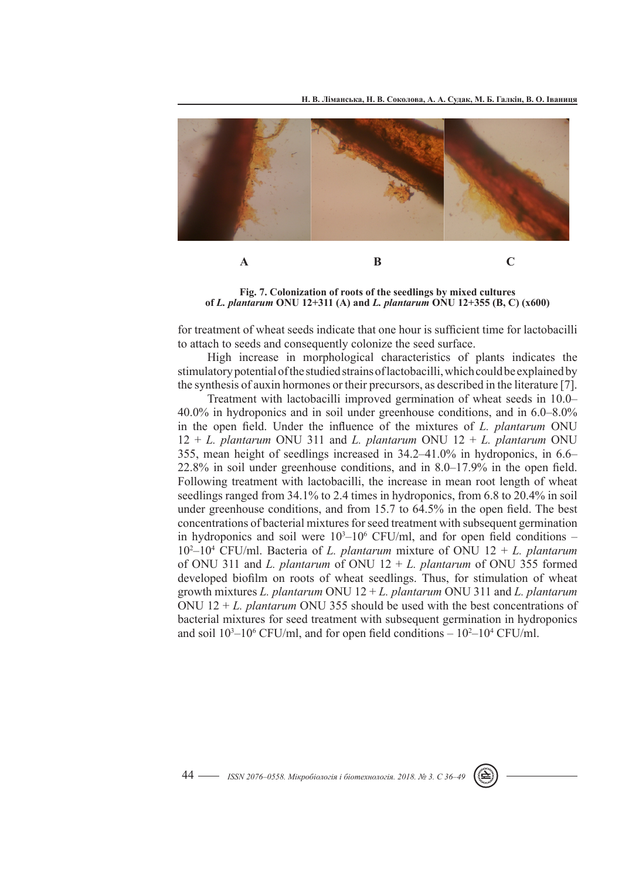**Н. В. Ліманська, Н. В. Соколова, А. А. Судак, М. Б. Галкін, В. О. Іваниця**



**Fig. 7. Colonization of roots of the seedlings by mixed cultures of** *L. plantarum* **ONU 12+311 (А) and** *L. plantarum* **ONU 12+355 (В, С) (х600)**

for treatment of wheat seeds indicate that one hour is sufficient time for lactobacilli to attach to seeds and consequently colonize the seed surface.

High increase in morphological characteristics of plants indicates the stimulatory potential of the studied strains of lactobacilli, which could be explained by the synthesis of auxin hormones or their precursors, as described in the literature [7].

Treatment with lactobacilli improved germination of wheat seeds in 10.0– 40.0% in hydroponics and in soil under greenhouse conditions, and in 6.0–8.0% in the open field. Under the influence of the mixtures of *L. plantarum* ONU 12 + *L. plantarum* ONU 311 and *L. plantarum* ONU 12 + *L. plantarum* ONU 355, mean height of seedlings increased in 34.2–41.0% in hydroponics, in 6.6– 22.8% in soil under greenhouse conditions, and in 8.0–17.9% in the open field. Following treatment with lactobacilli, the increase in mean root length of wheat seedlings ranged from 34.1% to 2.4 times in hydroponics, from 6.8 to 20.4% in soil under greenhouse conditions, and from 15.7 to 64.5% in the open field. The best concentrations of bacterial mixtures for seed treatment with subsequent germination in hydroponics and soil were  $10<sup>3</sup>-10<sup>6</sup>$  CFU/ml, and for open field conditions –  $10^2 - 10^4$  CFU/ml. Bacteria of *L. plantarum* mixture of ONU  $12 + L$ . plantarum of ONU 311 and *L. plantarum* of ONU 12 + *L. plantarum* of ONU 355 formed developed biofilm on roots of wheat seedlings. Thus, for stimulation of wheat growth mixtures *L. plantarum* ONU 12 + *L. plantarum* ONU 311 and *L. plantarum*  ONU 12 + *L. plantarum* ONU 355 should be used with the best concentrations of bacterial mixtures for seed treatment with subsequent germination in hydroponics and soil  $10<sup>3</sup>-10<sup>6</sup>$  CFU/ml, and for open field conditions  $-10<sup>2</sup>-10<sup>4</sup>$  CFU/ml.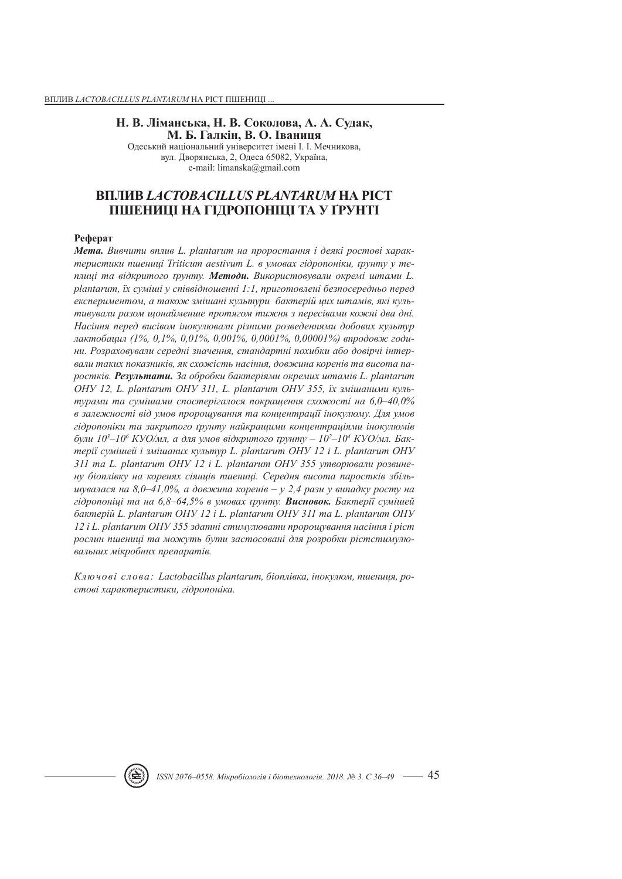### **Н. В. Ліманська, Н. В. Соколова, А. А. Судак, М. Б. Галкін, В. О. Іваниця**

Одеський національний університет імені І. І. Мечникова, вул. Дворянська, 2, Одеса 65082, Україна, e-mail: limanska@gmail.com

# **ВПЛИВ** *LACTOBACILLUS PLANTARUM* **НА РІСТ ПШЕНИЦІ НА ГІДРОПОНІЦІ ТА У ҐРУНТІ**

#### **Реферат**

*Мета. Вивчити вплив L. plantarum на проростання і деякі ростові характеристики пшениці Triticum aestivum L. в умовах гідропоніки, ґрунту у теплиці та відкритого ґрунту. Методи. Використовували окремі штами L. plantarum, їх суміші у співвідношенні 1:1, приготовлені безпосередньо перед експериментом, а також змішані культури бактерій цих штамів, які культивували разом щонайменше протягом тижня з пересівами кожні два дні. Насіння перед висівом інокулювали різними розведеннями добових культур лактобацил (1%, 0,1%, 0,01%, 0,001%, 0,0001%, 0,00001%) впродовж години. Розраховували середні значення, стандартні похибки або довірчі інтервали таких показників, як схожість насіння, довжина коренів та висота паростків. Результати. За обробки бактеріями окремих штамів L. plantarum ОНУ 12, L. plantarum ОНУ 311, L. plantarum ОНУ 355, їх змішаними культурами та сумішами спостерігалося покращення схожості на 6,0–40,0% в залежності від умов пророщування та концентрації інокулюму. Для умов гідропоніки та закритого ґрунту найкращими концентраціями інокулюмів*  були 10<sup>3</sup>–10<sup>6</sup> КУО/мл, а для умов відкритого ґрунту – 10<sup>2</sup>–10<sup>4</sup> КУО/мл. Бак*терії сумішей і змішаних культур L. plantarum ОНУ 12 і L. plantarum ОНУ 311 та L. plantarum ОНУ 12 і L. plantarum ОНУ 355 утворювали розвинену біоплівку на коренях сіянців пшениці. Середня висота паростків збільшувалася на 8,0–41,0%, а довжина коренів – у 2,4 рази у випадку росту на гідропоніці та на 6,8–64,5% в умовах ґрунту. Висновок. Бактерії сумішей бактерій L. plantarum ОНУ 12 і L. plantarum ОНУ 311 та L. plantarum ОНУ 12 і L. plantarum ОНУ 355 здатні стимулювати пророщування насіння і ріст рослин пшениці та можуть бути застосовані для розробки рістстимулювальних мікробних препаратів.* 

*Ключові слова: Lactobacillus plantarum, біоплівка, інокулюм, пшениця, ростові характеристики, гідропоніка.*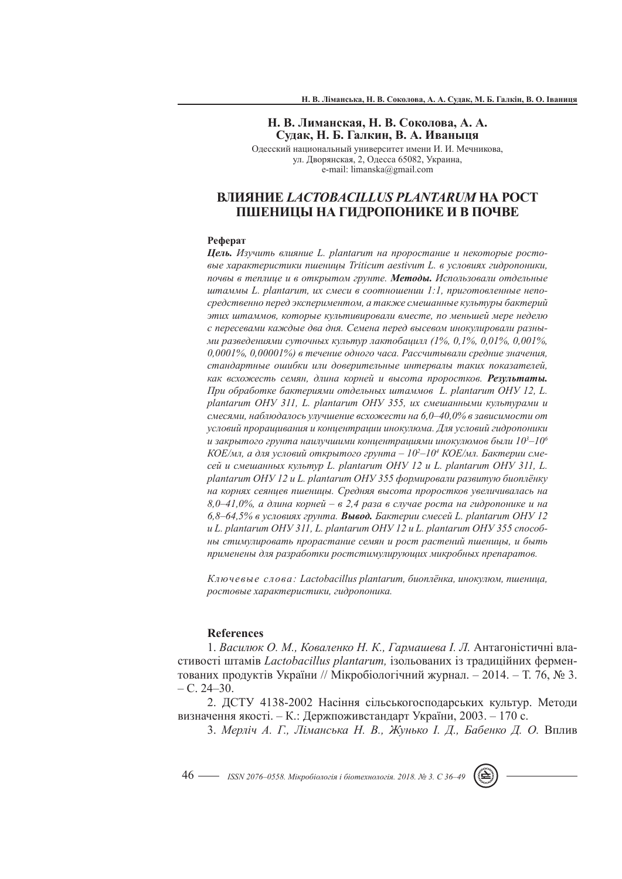## **Н. В. Лиманская, Н. В. Соколова, А. А. Судак, Н. Б. Галкин, В. А. Иваныця**

Одесский национальный университет имени И. И. Мечникова, ул. Дворянская, 2, Одесса 65082, Украина, e-mail: limanska@gmail.com

# **ВЛИЯНИЕ** *LACTOBACILLUS PLANTARUM* **НА РОСТ ПШЕНИЦЫ НА ГИДРОПОНИКЕ И В ПОЧВЕ**

#### **Реферат**

*Цель. Изучить влияние L. plantarum на проростание и некоторые ростовые характеристики пшеницы Triticum aestivum L. в условиях гидропоники, почвы в теплице и в открытом грунте. Методы. Использовали отдельные штаммы L. plantarum, их смеси в соотношении 1:1, приготовленные непосредственно перед экспериментом, а также смешанные культуры бактерий этих штаммов, которые культивировали вместе, по меньшей мере неделю с пересевами каждые два дня. Семена перед высевом инокулировали разными разведениями суточных культур лактобацилл (1%, 0,1%, 0,01%, 0,001%, 0,0001%, 0,00001%) в течение одного часа. Рассчитывали средние значения, стандартные ошибки или доверительные интервалы таких показателей, как всхожесть семян, длина корней и высота проростков. Результаты. При обработке бактериями отдельных штаммов L. plantarum ОНУ 12, L. plantarum ОНУ 311, L. plantarum ОНУ 355, их смешанными культурами и смесями, наблюдалось улучшение всхожести на 6,0–40,0% в зависимости от условий проращивания и концентрации инокулюма. Для условий гидропоники и закрытого грунта наилучшими концентрациями инокулюмов были 103 –106 КОЕ/мл, а для условий открытого грунта – 102 –104 КОЕ/мл. Бактерии смесей и смешанных культур L. plantarum ОНУ 12 и L. plantarum ОНУ 311, L. plantarum ОНУ 12 и L. plantarum ОНУ 355 формировали развитую биоплёнку на корнях сеянцев пшеницы. Средняя высота проростков увеличивалась на 8,0–41,0%, а длина корней – в 2,4 раза в случае роста на гидропонике и на 6,8–64,5% в условиях грунта. Вывод. Бактерии смесей L. plantarum ОНУ 12 и L. plantarum ОНУ 311, L. plantarum ОНУ 12 и L. plantarum ОНУ 355 способны стимулировать прорастание семян и рост растений пшеницы, и быть применены для разработки ростстимулирующих микробных препаратов.* 

*Ключевые слова: Lactobacillus plantarum, биоплёнка, инокулюм, пшеница, ростовые характеристики, гидропоника.*

## **References**

1. *Василюк О. М., Коваленко Н. К., Гармашева І. Л.* Антагоністичні властивості штамів *Lactobacillus plantarum,* ізольованих із традиційних ферментованих продуктів України // Мікробіологічний журнал. – 2014. – Т. 76, № 3. – С. 24–30.

2. ДСТУ 4138-2002 Насіння сільськогосподарських культур. Методи визначення якості. – К.: Держпоживстандарт України, 2003. – 170 с.

3. *Мерліч А. Г., Ліманська Н. В., Жунько І. Д., Бабенко Д. О.* Вплив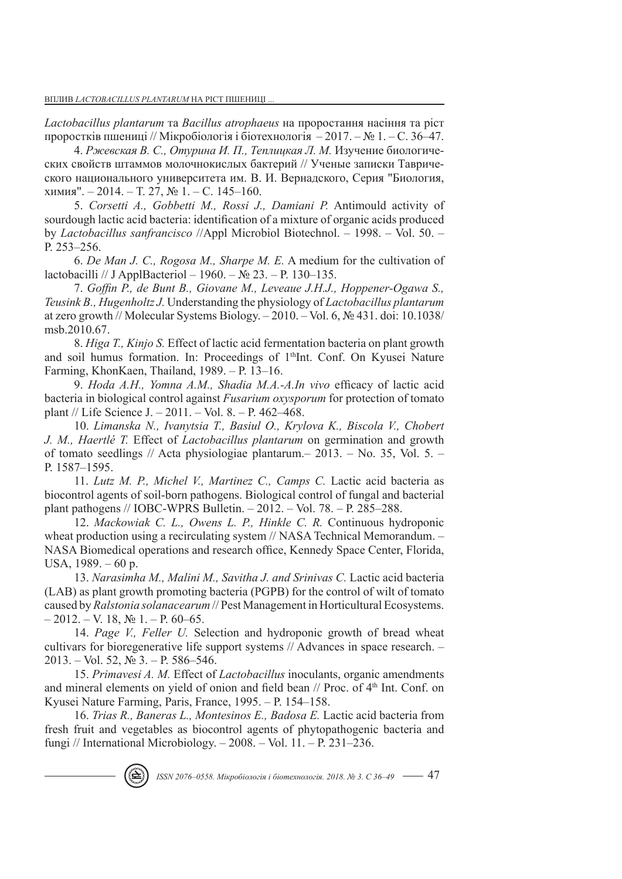*Lactobacillus plantarum* та *Вacillus аtrophaeus* на проростання насіння та ріст проростків пшениці // Мікробіологія і біотехнологія – 2017. – № 1. – С. 36–47.

4. *Ржевская В. С., Отурина И. П., Теплицкая Л. М.* Изучение биологических свойств штаммов молочнокислых бактерий // Ученые записки Таврического национального университета им. В. И. Вернадского, Серия "Биология, химия". – 2014. – Т. 27, № 1. – C. 145–160.

5. *Corsetti A., Gobbetti M., Rossi J., Damiani P.* Antimould activity of sourdough lactic acid bacteria: identification of a mixture of organic acids produced by *Lactobacillus sanfrancisco* //Appl Microbiol Biotechnol. – 1998. – Vol. 50. – P. 253–256.

6. *De Man J. C., Rogosa M., Sharpe M. E.* A medium for the cultivation of lactobacilli // J ApplBacteriol – 1960. – № 23. – P. 130–135.

7. *Goffin P., de Bunt B., Giovane M., Leveaue J.H.J., Hoppener-Ogawa S., Teusink B., Hugenholtz J.* Understanding the physiology of *Lactobacillus plantarum*  at zero growth // Molecular Systems Biology. – 2010. – Vol. 6, № 431. doi: 10.1038/ msb.2010.67.

8. *Higa T., Kinjo S.* Effect of lactic acid fermentation bacteria on plant growth and soil humus formation. In: Proceedings of 1<sup>th</sup>Int. Conf. On Kyusei Nature Farming, KhonKaen, Thailand, 1989. – P. 13–16.

9. *Hoda A.H., Yomna A.M., Shadia M.A.-A.In vivo* efficacy of lactic acid bacteria in biological control against *Fusarium oxysporum* for protection of tomato plant // Life Science J. – 2011. – Vol. 8. – P. 462–468.

10. *Limanska N., Ivanytsia T., Basiul O., Krylova K., Biscola V., Chobert J. M., Haertlé T.* Effect of *Lactobacillus plantarum* on germination and growth of tomato seedlings // Acta physiologiae plantarum.– 2013. – No. 35, Vol. 5. – P. 1587–1595.

11. *Lutz M. P., Michel V., Martinez C., Camps C.* Lactic acid bacteria as biocontrol agents of soil-born pathogens. Biological control of fungal and bacterial plant pathogens // IOBC-WPRS Bulletin. – 2012. – Vol. 78. – Р. 285–288.

12. *Mackowiak C. L., Owens L. P., Hinkle C. R.* Continuous hydroponic wheat production using a recirculating system // NASA Technical Memorandum. -NASA Biomedical operations and research office, Kennedy Space Center, Florida, USA, 1989. – 60 p.

13. *Narasimha M., Malini M., Savitha J. and Srinivas C.* Lactic acid bacteria (LAB) as plant growth promoting bacteria (PGPB) for the control of wilt of tomato caused by *Ralstonia solanacearum* // Pest Management in Horticultural Ecosystems.  $-2012. - V. 18, N<sub>2</sub> 1. - P. 60-65.$ 

14. *Page V., Feller U.* Selection and hydroponic growth of bread wheat cultivars for bioregenerative life support systems // Advances in space research. – 2013. – Vol. 52, № 3. – P. 586–546.

15. *Primavesi A. M.* Effect of *Lactobacillus* inoculants, organic amendments and mineral elements on yield of onion and field bean // Proc. of 4<sup>th</sup> Int. Conf. on Kyusei Nature Farming, Paris, France, 1995. – P. 154–158.

16. *Trias R., Baneras L., Montesinos E., Badosa E.* Lactic acid bacteria from fresh fruit and vegetables as biocontrol agents of phytopathogenic bacteria and fungi // International Microbiology. – 2008. – Vol. 11. – P. 231–236.

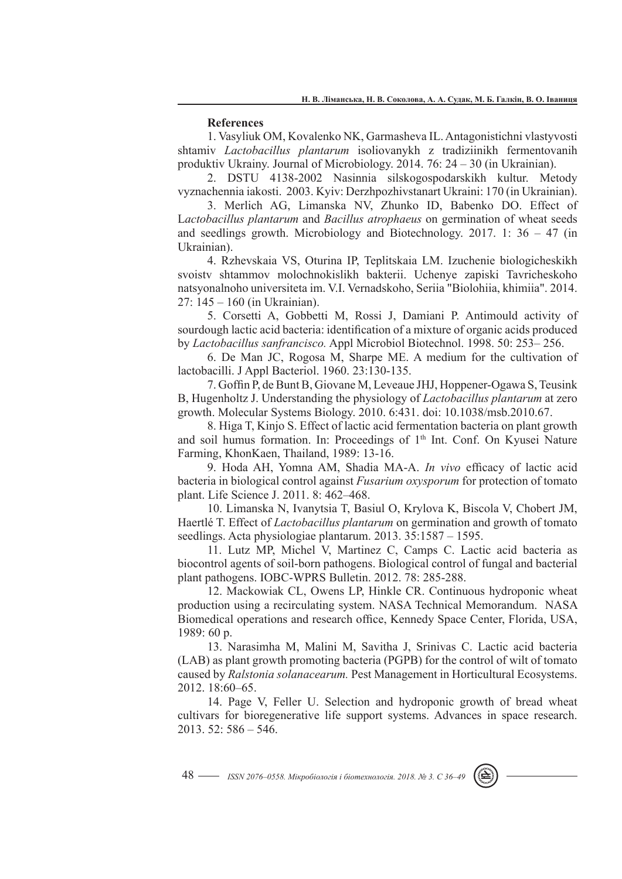### **References**

1. Vasyliuk OM, Kovalenko NK, Garmasheva IL. Antagonistichni vlastyvosti shtamiv *Lactobacillus plantarum* isoliovanykh z tradiziinikh fermentovanih produktiv Ukrainy. Journal of Microbiology. 2014. 76: 24 – 30 (in Ukrainian).

2. DSTU 4138-2002 Nasinnia silskogospodarskikh kultur. Metody vyznachennia iakosti. 2003. Kyiv: Derzhpozhivstanart Ukraini: 170 (in Ukrainian).

3. Merlich AG, Limanska NV, Zhunko ID, Babenko DO. Effect of L*actobacillus plantarum* and *Вacillus аtrophaeus* on germination of wheat seeds and seedlings growth. Microbiology and Biotechnology. 2017. 1:  $36 - 47$  (in Ukrainian).

4. Rzhevskaia VS, Oturina IP, Teplitskaia LM. Izuchenie biologicheskikh svoistv shtammov molochnokislikh bakterii. Uchenye zapiski Tavricheskoho natsyonalnoho universiteta im. V.I. Vernadskoho, Seriia "Biolohiia, khimiia". 2014. 27: 145 – 160 (in Ukrainian).

5. Corsetti A, Gobbetti M, Rossi J, Damiani P. Antimould activity of sourdough lactic acid bacteria: identification of a mixture of organic acids produced by *Lactobacillus sanfrancisco.* Appl Microbiol Biotechnol. 1998. 50: 253– 256.

6. De Man JC, Rogosa M, Sharpe ME. A medium for the cultivation of lactobacilli. J Appl Bacteriol. 1960. 23:130-135.

7. Goffin P, de Bunt B, Giovane M, Leveaue JHJ, Hoppener-Ogawa S, Teusink B, Hugenholtz J. Understanding the physiology of *Lactobacillus plantarum* at zero growth. Molecular Systems Biology. 2010. 6:431. doi: 10.1038/msb.2010.67.

8. Higa T, Kinjo S. Effect of lactic acid fermentation bacteria on plant growth and soil humus formation. In: Proceedings of 1<sup>th</sup> Int. Conf. On Kyusei Nature Farming, KhonKaen, Thailand, 1989: 13-16.

9. Hoda AH, Yomna AM, Shadia MA-A. *In vivo* efficacy of lactic acid bacteria in biological control against *Fusarium oxysporum* for protection of tomato plant. Life Science J. 2011. 8: 462–468.

10. Limanska N, Ivanytsia T, Basiul O, Krylova K, Biscola V, Chobert JM, Haertlé T. Effect of *Lactobacillus plantarum* on germination and growth of tomato seedlings. Acta physiologiae plantarum. 2013. 35:1587 – 1595.

11. Lutz MP, Michel V, Martinez C, Camps C. Lactic acid bacteria as biocontrol agents of soil-born pathogens. Biological control of fungal and bacterial plant pathogens. IOBC-WPRS Bulletin. 2012. 78: 285-288.

12. Mackowiak CL, Owens LP, Hinkle CR. Continuous hydroponic wheat production using a recirculating system. NASA Technical Memorandum. NASA Biomedical operations and research office, Kennedy Space Center, Florida, USA, 1989: 60 p.

13. Narasimha M, Malini M, Savitha J, Srinivas C. Lactic acid bacteria (LAB) as plant growth promoting bacteria (PGPB) for the control of wilt of tomato caused by *Ralstonia solanacearum.* Pest Management in Horticultural Ecosystems. 2012. 18:60–65.

14. Page V, Feller U. Selection and hydroponic growth of bread wheat cultivars for bioregenerative life support systems. Advances in space research. 2013. 52: 586 – 546.